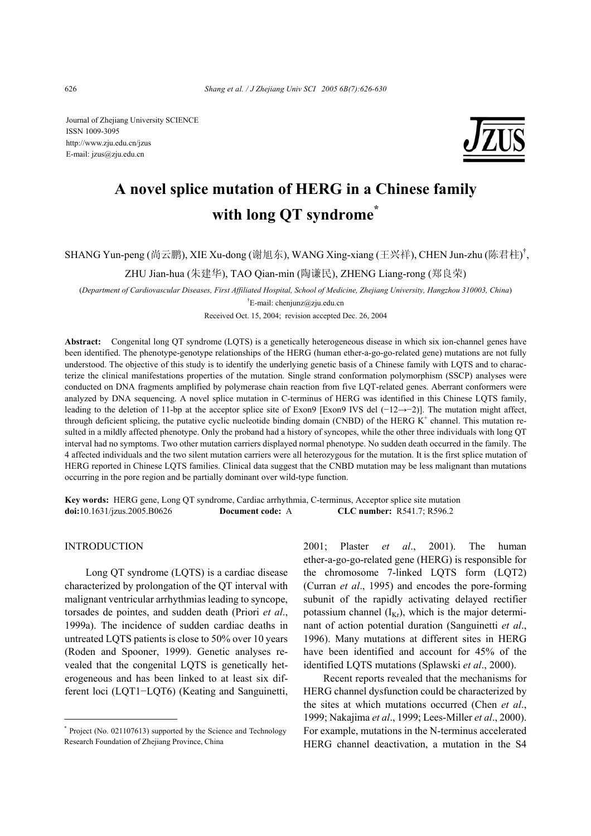Journal of Zhejiang University SCIENCE ISSN 1009-3095 http://www.zju.edu.cn/jzus E-mail: jzus@zju.edu.cn



# **A novel splice mutation of HERG in a Chinese family with long QT syndrome\***

SHANG Yun-peng (尚云鹏), XIE Xu-dong (谢旭东), WANG Xing-xiang (王兴祥), CHEN Jun-zhu (陈君柱)<sup>†</sup>,

ZHU Jian-hua (朱建华), TAO Qian-min (陶谦民), ZHENG Liang-rong (郑良荣)

(*Department of Cardiovascular Diseases, First Affiliated Hospital, School of Medicine, Zhejiang University, Hangzhou 310003, China*) <sup>†</sup>E-mail: chenjunz@zju.edu.cn

Received Oct. 15, 2004; revision accepted Dec. 26, 2004

**Abstract:** Congenital long QT syndrome (LQTS) is a genetically heterogeneous disease in which six ion-channel genes have been identified. The phenotype-genotype relationships of the HERG (human ether-a-go-go-related gene) mutations are not fully understood. The objective of this study is to identify the underlying genetic basis of a Chinese family with LQTS and to characterize the clinical manifestations properties of the mutation. Single strand conformation polymorphism (SSCP) analyses were conducted on DNA fragments amplified by polymerase chain reaction from five LQT-related genes. Aberrant conformers were analyzed by DNA sequencing. A novel splice mutation in C-terminus of HERG was identified in this Chinese LQTS family, leading to the deletion of 11-bp at the acceptor splice site of Exon9 [Exon9 IVS del (−12→−2)]. The mutation might affect, through deficient splicing, the putative cyclic nucleotide binding domain (CNBD) of the HERG  $K^+$  channel. This mutation resulted in a mildly affected phenotype. Only the proband had a history of syncopes, while the other three individuals with long QT interval had no symptoms. Two other mutation carriers displayed normal phenotype. No sudden death occurred in the family. The 4 affected individuals and the two silent mutation carriers were all heterozygous for the mutation. It is the first splice mutation of HERG reported in Chinese LQTS families. Clinical data suggest that the CNBD mutation may be less malignant than mutations occurring in the pore region and be partially dominant over wild-type function.

**Key words:** HERG gene, Long QT syndrome, Cardiac arrhythmia, C-terminus, Acceptor splice site mutation **doi:**10.1631/jzus.2005.B0626 **Document code:** A **CLC number:** R541.7; R596.2

#### INTRODUCTION

Long QT syndrome (LQTS) is a cardiac disease characterized by prolongation of the QT interval with malignant ventricular arrhythmias leading to syncope, torsades de pointes, and sudden death (Priori *et al*., 1999a). The incidence of sudden cardiac deaths in untreated LQTS patients is close to 50% over 10 years (Roden and Spooner, 1999). Genetic analyses revealed that the congenital LQTS is genetically heterogeneous and has been linked to at least six different loci (LQT1−LQT6) (Keating and Sanguinetti,

2001; Plaster *et al*., 2001). The human ether-a-go-go-related gene (HERG) is responsible for the chromosome 7-linked LQTS form (LQT2) (Curran *et al*., 1995) and encodes the pore-forming subunit of the rapidly activating delayed rectifier potassium channel  $(I_{Kr})$ , which is the major determinant of action potential duration (Sanguinetti *et al*., 1996). Many mutations at different sites in HERG have been identified and account for 45% of the identified LQTS mutations (Splawski *et al*., 2000).

Recent reports revealed that the mechanisms for HERG channel dysfunction could be characterized by the sites at which mutations occurred (Chen *et al*., 1999; Nakajima *et al*., 1999; Lees-Miller *et al*., 2000). For example, mutations in the N-terminus accelerated HERG channel deactivation, a mutation in the S4

<sup>\*</sup> Project (No. 021107613) supported by the Science and Technology Research Foundation of Zhejiang Province, China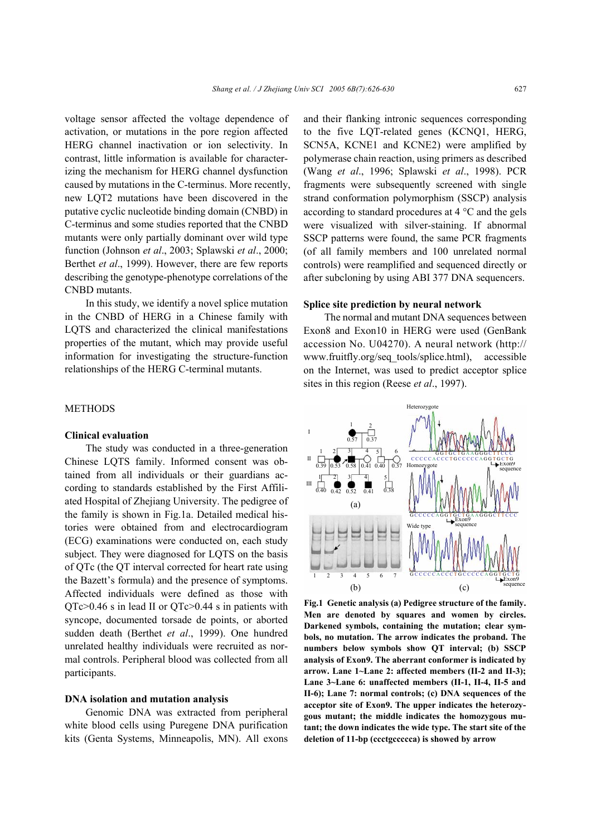voltage sensor affected the voltage dependence of activation, or mutations in the pore region affected HERG channel inactivation or ion selectivity. In contrast, little information is available for characterizing the mechanism for HERG channel dysfunction caused by mutations in the C-terminus. More recently, new LQT2 mutations have been discovered in the putative cyclic nucleotide binding domain (CNBD) in C-terminus and some studies reported that the CNBD mutants were only partially dominant over wild type function (Johnson *et al*., 2003; Splawski *et al*., 2000; Berthet *et al*., 1999). However, there are few reports describing the genotype-phenotype correlations of the CNBD mutants.

In this study, we identify a novel splice mutation in the CNBD of HERG in a Chinese family with LQTS and characterized the clinical manifestations properties of the mutant, which may provide useful information for investigating the structure-function relationships of the HERG C-terminal mutants.

# **METHODS**

#### **Clinical evaluation**

The study was conducted in a three-generation Chinese LQTS family. Informed consent was obtained from all individuals or their guardians according to standards established by the First Affiliated Hospital of Zhejiang University. The pedigree of the family is shown in Fig.1a. Detailed medical histories were obtained from and electrocardiogram (ECG) examinations were conducted on, each study subject. They were diagnosed for LQTS on the basis of QTc (the QT interval corrected for heart rate using the Bazett's formula) and the presence of symptoms. Affected individuals were defined as those with QTc>0.46 s in lead II or QTc>0.44 s in patients with syncope, documented torsade de points, or aborted sudden death (Berthet *et al*., 1999). One hundred unrelated healthy individuals were recruited as normal controls. Peripheral blood was collected from all participants.

## **DNA isolation and mutation analysis**

Genomic DNA was extracted from peripheral white blood cells using Puregene DNA purification kits (Genta Systems, Minneapolis, MN). All exons and their flanking intronic sequences corresponding to the five LQT-related genes (KCNQ1, HERG, SCN5A, KCNE1 and KCNE2) were amplified by polymerase chain reaction, using primers as described (Wang *et al*., 1996; Splawski *et al*., 1998). PCR fragments were subsequently screened with single strand conformation polymorphism (SSCP) analysis according to standard procedures at 4 °C and the gels were visualized with silver-staining. If abnormal SSCP patterns were found, the same PCR fragments (of all family members and 100 unrelated normal controls) were reamplified and sequenced directly or after subcloning by using ABI 377 DNA sequencers.

#### **Splice site prediction by neural network**

The normal and mutant DNA sequences between Exon8 and Exon10 in HERG were used (GenBank accession No. U04270). A neural network (http:// www.fruitfly.org/seq\_tools/splice.html), accessible on the Internet, was used to predict acceptor splice sites in this region (Reese *et al*., 1997).



**Fig.1 Genetic analysis (a) Pedigree structure of the family. Men are denoted by squares and women by circles. Darkened symbols, containing the mutation; clear symbols, no mutation. The arrow indicates the proband. The numbers below symbols show QT interval; (b) SSCP analysis of Exon9. The aberrant conformer is indicated by arrow. Lane 1~Lane 2: affected members (II-2 and II-3); Lane 3~Lane 6: unaffected members (II-1, II-4, II-5 and II-6); Lane 7: normal controls; (c) DNA sequences of the acceptor site of Exon9. The upper indicates the heterozygous mutant; the middle indicates the homozygous mutant; the down indicates the wide type. The start site of the deletion of 11-bp (ccctgccccca) is showed by arrow**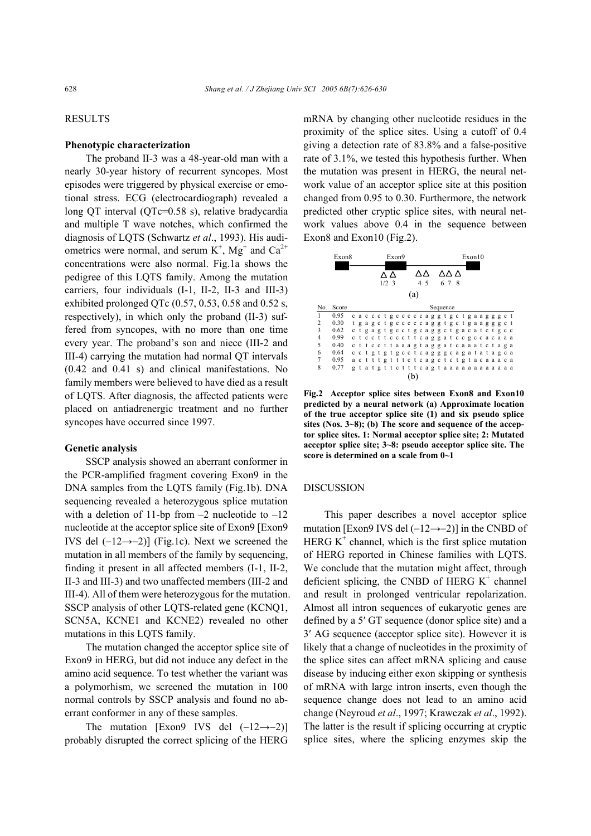# RESULTS

# **Phenotypic characterization**

The proband II-3 was a 48-year-old man with a nearly 30-year history of recurrent syncopes. Most episodes were triggered by physical exercise or emotional stress. ECG (electrocardiograph) revealed a long QT interval (QTc=0.58 s), relative bradycardia and multiple T wave notches, which confirmed the diagnosis of LQTS (Schwartz *et al*., 1993). His audiometrics were normal, and serum  $K^+$ ,  $Mg^+$  and  $Ca^{2+}$ concentrations were also normal. Fig.1a shows the pedigree of this LQTS family. Among the mutation carriers, four individuals (I-1, II-2, II-3 and III-3) exhibited prolonged QTc  $(0.57, 0.53, 0.58$  and  $0.52$  s, respectively), in which only the proband (II-3) suffered from syncopes, with no more than one time every year. The proband's son and niece (III-2 and III-4) carrying the mutation had normal QT intervals (0.42 and 0.41 s) and clinical manifestations. No family members were believed to have died as a result of LQTS. After diagnosis, the affected patients were placed on antiadrenergic treatment and no further syncopes have occurred since 1997.

# **Genetic analysis**

SSCP analysis showed an aberrant conformer in the PCR-amplified fragment covering Exon9 in the DNA samples from the LQTS family (Fig.1b). DNA sequencing revealed a heterozygous splice mutation with a deletion of 11-bp from  $-2$  nucleotide to  $-12$ nucleotide at the acceptor splice site of Exon9 [Exon9 IVS del (−12→−2)] (Fig.1c). Next we screened the mutation in all members of the family by sequencing, finding it present in all affected members (I-1, II-2, II-3 and III-3) and two unaffected members (III-2 and III-4). All of them were heterozygous for the mutation. SSCP analysis of other LQTS-related gene (KCNQ1, SCN5A, KCNE1 and KCNE2) revealed no other mutations in this LQTS family.

The mutation changed the acceptor splice site of Exon9 in HERG, but did not induce any defect in the amino acid sequence. To test whether the variant was a polymorhism, we screened the mutation in 100 normal controls by SSCP analysis and found no aberrant conformer in any of these samples.

The mutation [Exon9 IVS del (−12→−2)] probably disrupted the correct splicing of the HERG mRNA by changing other nucleotide residues in the proximity of the splice sites. Using a cutoff of 0.4 giving a detection rate of 83.8% and a false-positive rate of 3.1%, we tested this hypothesis further. When the mutation was present in HERG, the neural network value of an acceptor splice site at this position changed from 0.95 to 0.30. Furthermore, the network predicted other cryptic splice sites, with neural network values above 0.4 in the sequence between Exon8 and Exon10 (Fig.2).



**Fig.2 Acceptor splice sites between Exon8 and Exon10 predicted by a neural network (a) Approximate location of the true acceptor splice site (1) and six pseudo splice sites (Nos. 3~8); (b) The score and sequence of the acceptor splice sites. 1: Normal acceptor splice site; 2: Mutated acceptor splice site; 3~8: pseudo acceptor splice site. The score is determined on a scale from 0~1** 

## DISCUSSION

This paper describes a novel acceptor splice mutation [Exon9 IVS del (−12→−2)] in the CNBD of HERG  $K^+$  channel, which is the first splice mutation of HERG reported in Chinese families with LQTS. We conclude that the mutation might affect, through deficient splicing, the CNBD of HERG  $K^+$  channel and result in prolonged ventricular repolarization. Almost all intron sequences of eukaryotic genes are defined by a 5′ GT sequence (donor splice site) and a 3′ AG sequence (acceptor splice site). However it is likely that a change of nucleotides in the proximity of the splice sites can affect mRNA splicing and cause disease by inducing either exon skipping or synthesis of mRNA with large intron inserts, even though the sequence change does not lead to an amino acid change (Neyroud *et al*., 1997; Krawczak *et al*., 1992). The latter is the result if splicing occurring at cryptic splice sites, where the splicing enzymes skip the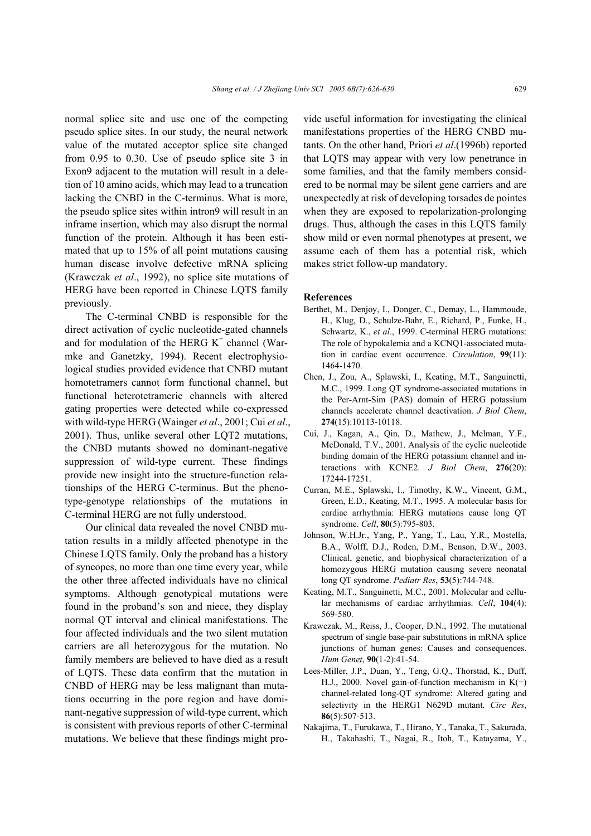normal splice site and use one of the competing pseudo splice sites. In our study, the neural network value of the mutated acceptor splice site changed from 0.95 to 0.30. Use of pseudo splice site 3 in Exon9 adjacent to the mutation will result in a deletion of 10 amino acids, which may lead to a truncation lacking the CNBD in the C-terminus. What is more, the pseudo splice sites within intron9 will result in an inframe insertion, which may also disrupt the normal function of the protein. Although it has been estimated that up to 15% of all point mutations causing human disease involve defective mRNA splicing (Krawczak *et al*., 1992), no splice site mutations of HERG have been reported in Chinese LQTS family previously.

The C-terminal CNBD is responsible for the direct activation of cyclic nucleotide-gated channels and for modulation of the HERG  $K^+$  channel (Warmke and Ganetzky, 1994). Recent electrophysiological studies provided evidence that CNBD mutant homotetramers cannot form functional channel, but functional heterotetrameric channels with altered gating properties were detected while co-expressed with wild-type HERG (Wainger *et al*., 2001; Cui *et al*., 2001). Thus, unlike several other LQT2 mutations, the CNBD mutants showed no dominant-negative suppression of wild-type current. These findings provide new insight into the structure-function relationships of the HERG C-terminus. But the phenotype-genotype relationships of the mutations in C-terminal HERG are not fully understood.

Our clinical data revealed the novel CNBD mutation results in a mildly affected phenotype in the Chinese LQTS family. Only the proband has a history of syncopes, no more than one time every year, while the other three affected individuals have no clinical symptoms. Although genotypical mutations were found in the proband's son and niece, they display normal QT interval and clinical manifestations. The four affected individuals and the two silent mutation carriers are all heterozygous for the mutation. No family members are believed to have died as a result of LQTS. These data confirm that the mutation in CNBD of HERG may be less malignant than mutations occurring in the pore region and have dominant-negative suppression of wild-type current, which is consistent with previous reports of other C-terminal mutations. We believe that these findings might provide useful information for investigating the clinical manifestations properties of the HERG CNBD mutants. On the other hand, Priori *et al*.(1996b) reported that LQTS may appear with very low penetrance in some families, and that the family members considered to be normal may be silent gene carriers and are unexpectedly at risk of developing torsades de pointes when they are exposed to repolarization-prolonging drugs. Thus, although the cases in this LQTS family show mild or even normal phenotypes at present, we assume each of them has a potential risk, which makes strict follow-up mandatory.

#### **References**

- Berthet, M., Denjoy, I., Donger, C., Demay, L., Hammoude, H., Klug, D., Schulze-Bahr, E., Richard, P., Funke, H., Schwartz, K., *et al*., 1999. C-terminal HERG mutations: The role of hypokalemia and a KCNQ1-associated mutation in cardiac event occurrence. *Circulation*, **99**(11): 1464-1470.
- Chen, J., Zou, A., Splawski, I., Keating, M.T., Sanguinetti, M.C., 1999. Long QT syndrome-associated mutations in the Per-Arnt-Sim (PAS) domain of HERG potassium channels accelerate channel deactivation. *J Biol Chem*, **274**(15):10113-10118.
- Cui, J., Kagan, A., Qin, D., Mathew, J., Melman, Y.F., McDonald, T.V., 2001. Analysis of the cyclic nucleotide binding domain of the HERG potassium channel and interactions with KCNE2. *J Biol Chem*, **276**(20): 17244-17251.
- Curran, M.E., Splawski, I., Timothy, K.W., Vincent, G.M., Green, E.D., Keating, M.T., 1995. A molecular basis for cardiac arrhythmia: HERG mutations cause long QT syndrome. *Cell*, **80**(5):795-803.
- Johnson, W.H.Jr., Yang, P., Yang, T., Lau, Y.R., Mostella, B.A., Wolff, D.J., Roden, D.M., Benson, D.W., 2003. Clinical, genetic, and biophysical characterization of a homozygous HERG mutation causing severe neonatal long QT syndrome. *Pediatr Res*, **53**(5):744-748.
- Keating, M.T., Sanguinetti, M.C., 2001. Molecular and cellular mechanisms of cardiac arrhythmias. *Cell*, **104**(4): 569-580.
- Krawczak, M., Reiss, J., Cooper, D.N., 1992. The mutational spectrum of single base-pair substitutions in mRNA splice junctions of human genes: Causes and consequences. *Hum Genet*, **90**(1-2):41-54.
- Lees-Miller, J.P., Duan, Y., Teng, G.Q., Thorstad, K., Duff, H.J., 2000. Novel gain-of-function mechanism in  $K(+)$ channel-related long-QT syndrome: Altered gating and selectivity in the HERG1 N629D mutant. *Circ Res*, **86**(5):507-513.
- Nakajima, T., Furukawa, T., Hirano, Y., Tanaka, T., Sakurada, H., Takahashi, T., Nagai, R., Itoh, T., Katayama, Y.,